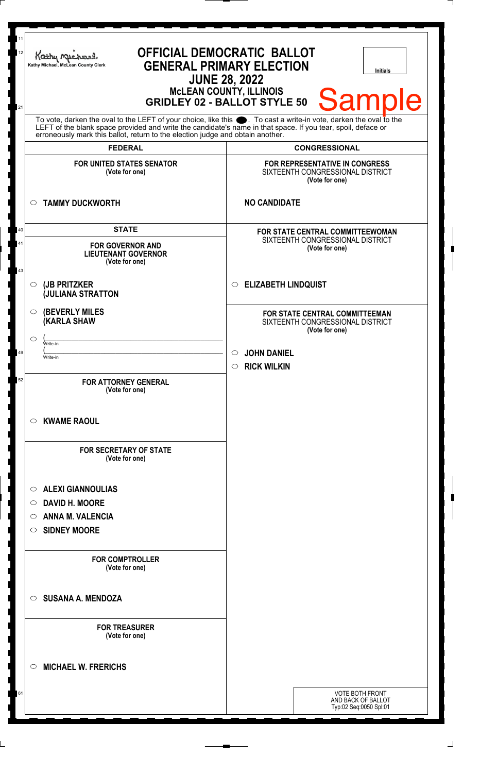| 11<br>12<br>21                                                                                                                                                                                                                                                                                                         | <b>OFFICIAL DEMOCRATIC BALLOT</b><br>Kathy Michael<br><b>GENERAL PRIMARY ELECTION</b><br>Kathy Michael, McLean County Clerk<br><b>Initials</b><br><b>JUNE 28, 2022</b><br><b>MCLEAN COUNTY, ILLINOIS</b><br><b>Sample</b><br><b>GRIDLEY 02 - BALLOT STYLE 50</b> |                                                                                                                                                     |
|------------------------------------------------------------------------------------------------------------------------------------------------------------------------------------------------------------------------------------------------------------------------------------------------------------------------|------------------------------------------------------------------------------------------------------------------------------------------------------------------------------------------------------------------------------------------------------------------|-----------------------------------------------------------------------------------------------------------------------------------------------------|
| To vote, darken the oval to the LEFT of your choice, like this $\bullet$ . To cast a write-in vote, darken the oval to the LEFT of the blank space provided and write the candidate's name in that space. If you tear, spoil, deface<br>erroneously mark this ballot, return to the election judge and obtain another. |                                                                                                                                                                                                                                                                  |                                                                                                                                                     |
|                                                                                                                                                                                                                                                                                                                        | <b>FEDERAL</b><br><b>FOR UNITED STATES SENATOR</b><br>(Vote for one)                                                                                                                                                                                             | <b>CONGRESSIONAL</b><br>FOR REPRESENTATIVE IN CONGRESS<br>SIXTEENTH CONGRESSIONAL DISTRICT                                                          |
|                                                                                                                                                                                                                                                                                                                        | <b>TAMMY DUCKWORTH</b><br>$\circ$                                                                                                                                                                                                                                | (Vote for one)<br><b>NO CANDIDATE</b>                                                                                                               |
| 40<br>41                                                                                                                                                                                                                                                                                                               | <b>STATE</b><br><b>FOR GOVERNOR AND</b><br><b>LIEUTENANT GOVERNOR</b><br>(Vote for one)                                                                                                                                                                          | FOR STATE CENTRAL COMMITTEEWOMAN<br>SIXTEENTH CONGRESSIONAL DISTRICT<br>(Vote for one)                                                              |
| 43                                                                                                                                                                                                                                                                                                                     | (JB PRITZKER<br>◯<br><b>JULIANA STRATTON</b>                                                                                                                                                                                                                     | C ELIZABETH LINDQUIST                                                                                                                               |
| 49<br>52                                                                                                                                                                                                                                                                                                               | <b>(BEVERLY MILES)</b><br>$\circ$<br><b>(KARLA SHAW</b><br>⌒<br>Write-in<br>Write-in<br><b>FOR ATTORNEY GENERAL</b>                                                                                                                                              | <b>FOR STATE CENTRAL COMMITTEEMAN</b><br>SIXTEENTH CONGRESSIONAL DISTRICT<br>(Vote for one)<br><b>JOHN DANIEL</b><br>$\circ$<br>$\circ$ RICK WILKIN |
|                                                                                                                                                                                                                                                                                                                        | (Vote for one)<br><b>KWAME RAOUL</b><br>$\circ$<br><b>FOR SECRETARY OF STATE</b><br>(Vote for one)                                                                                                                                                               |                                                                                                                                                     |
|                                                                                                                                                                                                                                                                                                                        | <b>ALEXI GIANNOULIAS</b><br>$\circ$<br><b>DAVID H. MOORE</b><br>O<br><b>ANNA M. VALENCIA</b><br>◯<br><b>SIDNEY MOORE</b><br>$\circ$                                                                                                                              |                                                                                                                                                     |
|                                                                                                                                                                                                                                                                                                                        | <b>FOR COMPTROLLER</b><br>(Vote for one)<br><b>SUSANA A. MENDOZA</b><br>$\bigcirc$                                                                                                                                                                               |                                                                                                                                                     |
|                                                                                                                                                                                                                                                                                                                        | <b>FOR TREASURER</b><br>(Vote for one)                                                                                                                                                                                                                           |                                                                                                                                                     |
|                                                                                                                                                                                                                                                                                                                        | <b>MICHAEL W. FRERICHS</b><br>◯                                                                                                                                                                                                                                  |                                                                                                                                                     |
| 61                                                                                                                                                                                                                                                                                                                     |                                                                                                                                                                                                                                                                  | <b>VOTE BOTH FRONT</b><br>AND BACK OF BALLOT<br>Typ:02 Seq:0050 Spl:01                                                                              |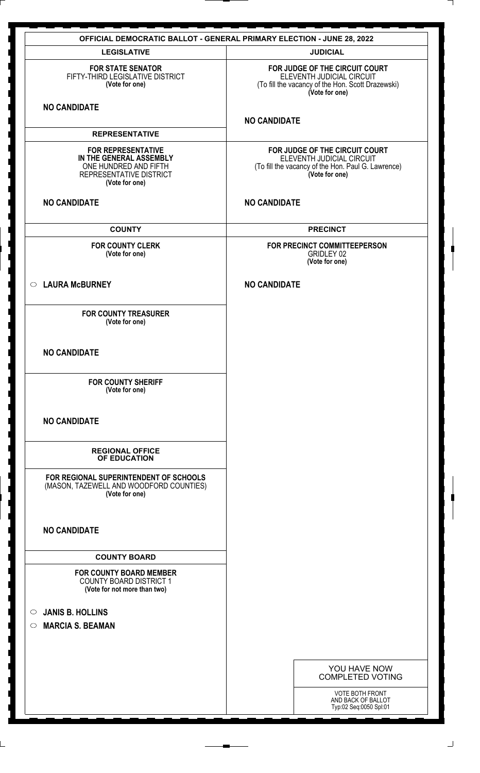|                                                                                                                            | <b>OFFICIAL DEMOCRATIC BALLOT - GENERAL PRIMARY ELECTION - JUNE 28, 2022</b>                                                        |
|----------------------------------------------------------------------------------------------------------------------------|-------------------------------------------------------------------------------------------------------------------------------------|
| <b>LEGISLATIVE</b>                                                                                                         | <b>JUDICIAL</b>                                                                                                                     |
| <b>FOR STATE SENATOR</b><br>FIFTY-THIRD LEGISLATIVE DISTRICT<br>(Vote for one)                                             | FOR JUDGE OF THE CIRCUIT COURT<br>ELEVENTH JUDICIAL CIRCUIT<br>(To fill the vacancy of the Hon. Scott Drazewski)<br>(Vote for one)  |
| <b>NO CANDIDATE</b>                                                                                                        | <b>NO CANDIDATE</b>                                                                                                                 |
| <b>REPRESENTATIVE</b>                                                                                                      |                                                                                                                                     |
| <b>FOR REPRESENTATIVE</b><br>IN THE GENERAL ASSEMBLY<br>ONE HUNDRED AND FIFTH<br>REPRESENTATIVE DISTRICT<br>(Vote for one) | FOR JUDGE OF THE CIRCUIT COURT<br>ELEVENTH JUDICIAL CIRCUIT<br>(To fill the vacancy of the Hon. Paul G. Lawrence)<br>(Vote for one) |
| <b>NO CANDIDATE</b>                                                                                                        | <b>NO CANDIDATE</b>                                                                                                                 |
| <b>COUNTY</b>                                                                                                              | <b>PRECINCT</b>                                                                                                                     |
| <b>FOR COUNTY CLERK</b><br>(Vote for one)                                                                                  | FOR PRECINCT COMMITTEEPERSON<br>GRIDLEY 02<br>(Vote for one)                                                                        |
| C LAURA McBURNEY                                                                                                           | <b>NO CANDIDATE</b>                                                                                                                 |
| <b>FOR COUNTY TREASURER</b><br>(Vote for one)                                                                              |                                                                                                                                     |
| <b>NO CANDIDATE</b>                                                                                                        |                                                                                                                                     |
| <b>FOR COUNTY SHERIFF</b><br>(Vote for one)                                                                                |                                                                                                                                     |
| <b>NO CANDIDATE</b>                                                                                                        |                                                                                                                                     |
| <b>REGIONAL OFFICE</b><br>OF EDUCATION                                                                                     |                                                                                                                                     |
| FOR REGIONAL SUPERINTENDENT OF SCHOOLS<br>(MASON, TAZEWELL AND WOODFORD COUNTIES)<br>(Vote for one)                        |                                                                                                                                     |
| <b>NO CANDIDATE</b>                                                                                                        |                                                                                                                                     |
| <b>COUNTY BOARD</b>                                                                                                        |                                                                                                                                     |
| <b>FOR COUNTY BOARD MEMBER</b><br><b>COUNTY BOARD DISTRICT 1</b><br>(Vote for not more than two)                           |                                                                                                                                     |
| <b>JANIS B. HOLLINS</b><br>$\circ$                                                                                         |                                                                                                                                     |
| <b>MARCIA S. BEAMAN</b><br>$\circ$                                                                                         |                                                                                                                                     |
|                                                                                                                            |                                                                                                                                     |
|                                                                                                                            |                                                                                                                                     |
|                                                                                                                            | YOU HAVE NOW<br><b>COMPLETED VOTING</b>                                                                                             |
|                                                                                                                            | VOTE BOTH FRONT                                                                                                                     |
|                                                                                                                            | AND BACK OF BALLOT<br>Typ:02 Seq:0050 Spl:01                                                                                        |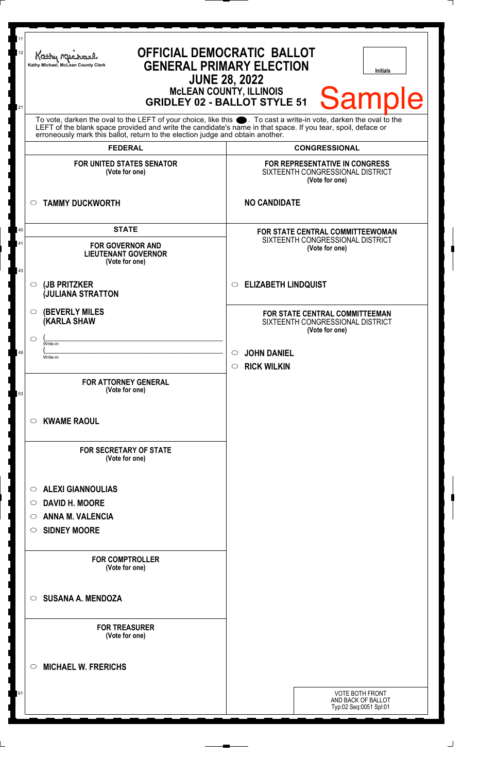| 11<br>12 | <b>OFFICIAL DEMOCRATIC BALLOT</b><br>Kathy Me<br><b>GENERAL PRIMARY ELECTION</b><br>Kathy Michael, McLean County Clerk<br><b>Initials</b><br><b>JUNE 28, 2022</b><br><b>MCLEAN COUNTY, ILLINOIS</b><br><b>Sample</b><br><b>GRIDLEY 02 - BALLOT STYLE 51</b>                                                            |                                                                                        |  |
|----------|------------------------------------------------------------------------------------------------------------------------------------------------------------------------------------------------------------------------------------------------------------------------------------------------------------------------|----------------------------------------------------------------------------------------|--|
| 21       | To vote, darken the oval to the LEFT of your choice, like this $\bullet$ . To cast a write-in vote, darken the oval to the LEFT of the blank space provided and write the candidate's name in that space. If you tear, spoil, deface<br>erroneously mark this ballot, return to the election judge and obtain another. |                                                                                        |  |
|          | <b>FEDERAL</b>                                                                                                                                                                                                                                                                                                         | <b>CONGRESSIONAL</b>                                                                   |  |
|          | <b>FOR UNITED STATES SENATOR</b><br>(Vote for one)                                                                                                                                                                                                                                                                     | FOR REPRESENTATIVE IN CONGRESS<br>SIXTEENTH CONGRESSIONAL DISTRICT<br>(Vote for one)   |  |
|          | <b>TAMMY DUCKWORTH</b>                                                                                                                                                                                                                                                                                                 | <b>NO CANDIDATE</b>                                                                    |  |
| 40<br>41 | <b>STATE</b><br><b>FOR GOVERNOR AND</b><br><b>LIEUTENANT GOVERNOR</b><br>(Vote for one)                                                                                                                                                                                                                                | FOR STATE CENTRAL COMMITTEEWOMAN<br>SIXTEENTH CONGRESSIONAL DISTRICT<br>(Vote for one) |  |
| 43       | (JB PRITZKER<br>$\circ$<br><b>JULIANA STRATTON</b>                                                                                                                                                                                                                                                                     | <b>ELIZABETH LINDQUIST</b><br>$\circ$                                                  |  |
|          | <b>(BEVERLY MILES)</b><br>$\circ$<br><b>KARLA SHAW</b><br>O<br>Write-in                                                                                                                                                                                                                                                | FOR STATE CENTRAL COMMITTEEMAN<br>SIXTEENTH CONGRESSIONAL DISTRICT<br>(Vote for one)   |  |
| 49       | Write-in                                                                                                                                                                                                                                                                                                               | <b>JOHN DANIEL</b><br>$\circ$<br><b>RICK WILKIN</b><br>$\circ$                         |  |
| 53       | <b>FOR ATTORNEY GENERAL</b><br>(Vote for one)                                                                                                                                                                                                                                                                          |                                                                                        |  |
|          | <b>KWAME RAOUL</b><br>$\circ$                                                                                                                                                                                                                                                                                          |                                                                                        |  |
|          | <b>FOR SECRETARY OF STATE</b><br>(Vote for one)                                                                                                                                                                                                                                                                        |                                                                                        |  |
|          | <b>ALEXI GIANNOULIAS</b><br>◯<br><b>DAVID H. MOORE</b><br>$\circ$<br><b>ANNA M. VALENCIA</b><br>$\bigcirc$<br><b>SIDNEY MOORE</b><br>$\circ$                                                                                                                                                                           |                                                                                        |  |
|          | <b>FOR COMPTROLLER</b><br>(Vote for one)                                                                                                                                                                                                                                                                               |                                                                                        |  |
|          | <b>SUSANA A. MENDOZA</b><br>$\bigcirc$                                                                                                                                                                                                                                                                                 |                                                                                        |  |
|          | <b>FOR TREASURER</b><br>(Vote for one)                                                                                                                                                                                                                                                                                 |                                                                                        |  |
|          | <b>MICHAEL W. FRERICHS</b><br>◯                                                                                                                                                                                                                                                                                        |                                                                                        |  |
| 61       |                                                                                                                                                                                                                                                                                                                        | <b>VOTE BOTH FRONT</b><br>AND BACK OF BALLOT<br>Typ:02 Seq:0051 Spl:01                 |  |

 $\perp$